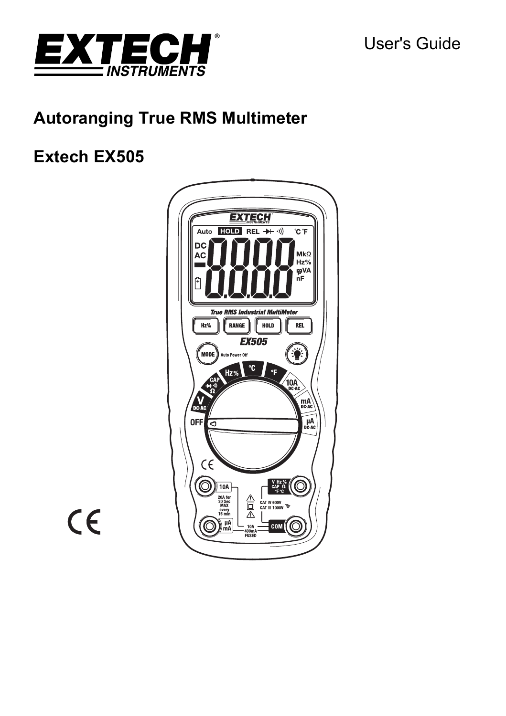



# **Autoranging True RMS Multimeter**

# **Extech EX505**



 $C \in$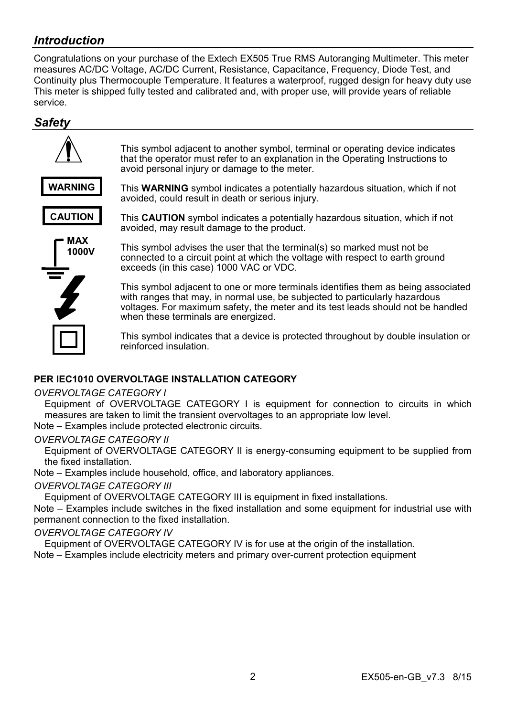# *Introduction*

Congratulations on your purchase of the Extech EX505 True RMS Autoranging Multimeter. This meter measures AC/DC Voltage, AC/DC Current, Resistance, Capacitance, Frequency, Diode Test, and Continuity plus Thermocouple Temperature. It features a waterproof, rugged design for heavy duty use This meter is shipped fully tested and calibrated and, with proper use, will provide years of reliable service.

### *Safety*



#### **PER IEC1010 OVERVOLTAGE INSTALLATION CATEGORY**

#### *OVERVOLTAGE CATEGORY I*

Equipment of OVERVOLTAGE CATEGORY I is equipment for connection to circuits in which measures are taken to limit the transient overvoltages to an appropriate low level.

Note – Examples include protected electronic circuits.

#### *OVERVOLTAGE CATEGORY II*

Equipment of OVERVOLTAGE CATEGORY II is energy-consuming equipment to be supplied from the fixed installation.

Note – Examples include household, office, and laboratory appliances.

#### *OVERVOLTAGE CATEGORY III*

Equipment of OVERVOLTAGE CATEGORY III is equipment in fixed installations.

Note – Examples include switches in the fixed installation and some equipment for industrial use with permanent connection to the fixed installation.

#### *OVERVOLTAGE CATEGORY IV*

Equipment of OVERVOLTAGE CATEGORY IV is for use at the origin of the installation.

Note – Examples include electricity meters and primary over-current protection equipment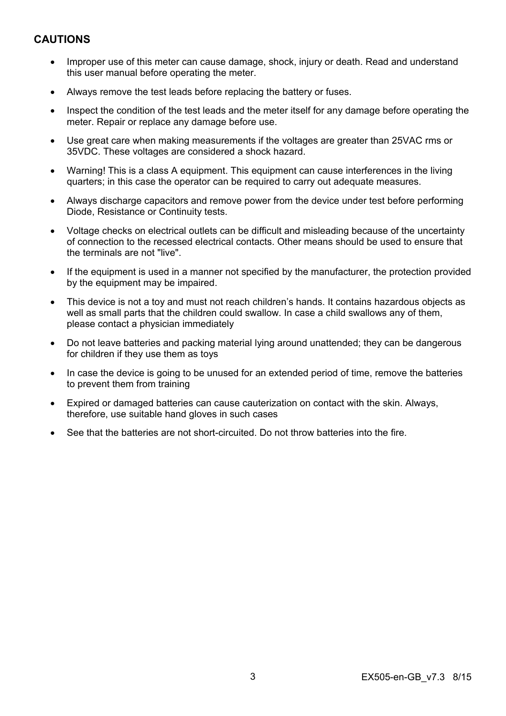## **CAUTIONS**

- Improper use of this meter can cause damage, shock, injury or death. Read and understand this user manual before operating the meter.
- Always remove the test leads before replacing the battery or fuses.
- Inspect the condition of the test leads and the meter itself for any damage before operating the meter. Repair or replace any damage before use.
- Use great care when making measurements if the voltages are greater than 25VAC rms or 35VDC. These voltages are considered a shock hazard.
- Warning! This is a class A equipment. This equipment can cause interferences in the living quarters; in this case the operator can be required to carry out adequate measures.
- Always discharge capacitors and remove power from the device under test before performing Diode, Resistance or Continuity tests.
- Voltage checks on electrical outlets can be difficult and misleading because of the uncertainty of connection to the recessed electrical contacts. Other means should be used to ensure that the terminals are not "live".
- If the equipment is used in a manner not specified by the manufacturer, the protection provided by the equipment may be impaired.
- This device is not a toy and must not reach children's hands. It contains hazardous objects as well as small parts that the children could swallow. In case a child swallows any of them, please contact a physician immediately
- Do not leave batteries and packing material lying around unattended; they can be dangerous for children if they use them as toys
- In case the device is going to be unused for an extended period of time, remove the batteries to prevent them from training
- Expired or damaged batteries can cause cauterization on contact with the skin. Always, therefore, use suitable hand gloves in such cases
- See that the batteries are not short-circuited. Do not throw batteries into the fire.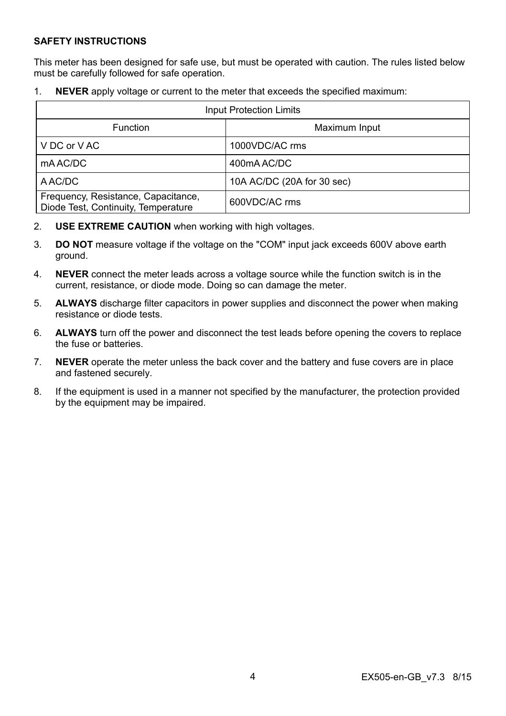#### **SAFETY INSTRUCTIONS**

This meter has been designed for safe use, but must be operated with caution. The rules listed below must be carefully followed for safe operation.

1. **NEVER** apply voltage or current to the meter that exceeds the specified maximum:

| Input Protection Limits                                                    |                            |  |
|----------------------------------------------------------------------------|----------------------------|--|
| <b>Function</b>                                                            | Maximum Input              |  |
| V DC or V AC                                                               | 1000VDC/AC rms             |  |
| mA AC/DC                                                                   | 400mAAC/DC                 |  |
| A AC/DC                                                                    | 10A AC/DC (20A for 30 sec) |  |
| Frequency, Resistance, Capacitance,<br>Diode Test, Continuity, Temperature | 600VDC/AC rms              |  |

- 2. **USE EXTREME CAUTION** when working with high voltages.
- 3. **DO NOT** measure voltage if the voltage on the "COM" input jack exceeds 600V above earth ground.
- 4. **NEVER** connect the meter leads across a voltage source while the function switch is in the current, resistance, or diode mode. Doing so can damage the meter.
- 5. **ALWAYS** discharge filter capacitors in power supplies and disconnect the power when making resistance or diode tests.
- 6. **ALWAYS** turn off the power and disconnect the test leads before opening the covers to replace the fuse or batteries.
- 7. **NEVER** operate the meter unless the back cover and the battery and fuse covers are in place and fastened securely.
- 8. If the equipment is used in a manner not specified by the manufacturer, the protection provided by the equipment may be impaired.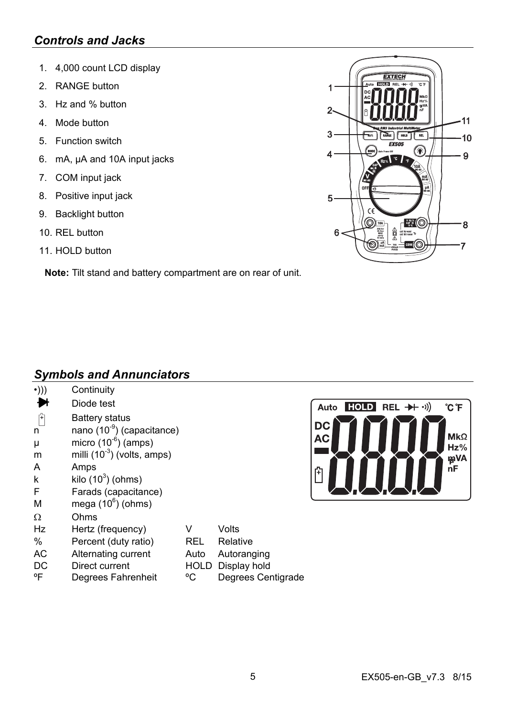# *Controls and Jacks*

- 1. 4,000 count LCD display
- 2. RANGE button
- 3. Hz and % button
- 4. Mode button
- 5. Function switch
- 6. mA, µA and 10A input jacks
- 7. COM input jack
- 8. Positive input jack
- 9. Backlight button
- 10. REL button
- 11. HOLD button

**Note:** Tilt stand and battery compartment are on rear of unit.

#### **EXTECH** 4  $\overline{\mathbf{c}}$  $11$  $\overline{3}$  $10$ 6  $\overline{\mathbf{A}}$ 9 5 බ - 44 8  $\begin{array}{ccc}\n&\text{if } &\text{if } & \text{if } & \text{if } & \text{if } & \text{if } & \text{if } & \text{if } & \text{if } & \text{if } & \text{if } & \text{if } & \text{if } & \text{if } & \text{if } & \text{if } & \text{if } & \text{if } & \text{if } & \text{if } & \text{if } & \text{if } & \text{if } & \text{if } & \text{if } & \text{if } & \text{if } & \text{if } & \text{if } & \text{if } & \text{if } & \text{if } & \text{if } & \text{if } & \text{if } & \$ 會 R 7

# *Symbols and Annunciators*

| $\cdot$ ))) | Continuity                             |             |                    |                                             |
|-------------|----------------------------------------|-------------|--------------------|---------------------------------------------|
|             | Diode test                             |             |                    | <b>HOLD</b><br>$REL + \rightarrow)$<br>Auto |
| 臼           | Battery status                         |             |                    |                                             |
| n           | nano (10 <sup>-9</sup> ) (capacitance) |             |                    | DC                                          |
| μ           | micro $(10^{-6})$ (amps)               |             |                    | <b>AC</b>                                   |
| m           | milli $(10^{-3})$ (volts, amps)        |             |                    |                                             |
| A           | Amps                                   |             |                    | 印                                           |
| k           | kilo $(10^3)$ (ohms)                   |             |                    |                                             |
| F           | Farads (capacitance)                   |             |                    |                                             |
| M           | mega $(10^6)$ (ohms)                   |             |                    |                                             |
| Ω           | Ohms                                   |             |                    |                                             |
| Hz          | Hertz (frequency)                      | v           | Volts              |                                             |
| %           | Percent (duty ratio)                   | <b>REL</b>  | Relative           |                                             |
| AC          | Alternating current                    | Auto        | Autoranging        |                                             |
| DC          | Direct current                         | <b>HOLD</b> | Display hold       |                                             |
| °F          | Degrees Fahrenheit                     | °C          | Degrees Centigrade |                                             |



°C °F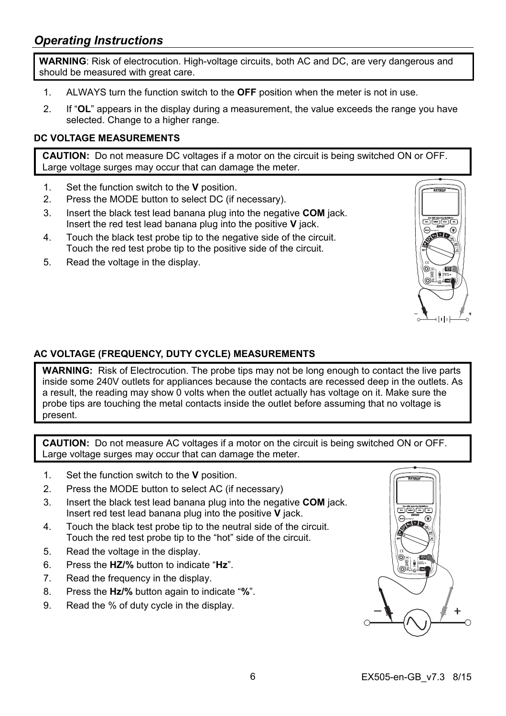# *Operating Instructions*

**WARNING**: Risk of electrocution. High-voltage circuits, both AC and DC, are very dangerous and should be measured with great care.

- 1. ALWAYS turn the function switch to the **OFF** position when the meter is not in use.
- 2. If "**OL**" appears in the display during a measurement, the value exceeds the range you have selected. Change to a higher range.

#### **DC VOLTAGE MEASUREMENTS**

**CAUTION:** Do not measure DC voltages if a motor on the circuit is being switched ON or OFF. Large voltage surges may occur that can damage the meter.

- 1. Set the function switch to the **V** position.
- 2. Press the MODE button to select DC (if necessary).
- 3. Insert the black test lead banana plug into the negative **COM** jack. Insert the red test lead banana plug into the positive **V** jack.
- 4. Touch the black test probe tip to the negative side of the circuit. Touch the red test probe tip to the positive side of the circuit.
- 5. Read the voltage in the display.



#### **AC VOLTAGE (FREQUENCY, DUTY CYCLE) MEASUREMENTS**

**WARNING:** Risk of Electrocution. The probe tips may not be long enough to contact the live parts inside some 240V outlets for appliances because the contacts are recessed deep in the outlets. As a result, the reading may show 0 volts when the outlet actually has voltage on it. Make sure the probe tips are touching the metal contacts inside the outlet before assuming that no voltage is present.

**CAUTION:** Do not measure AC voltages if a motor on the circuit is being switched ON or OFF. Large voltage surges may occur that can damage the meter.

- 1. Set the function switch to the **V** position.
- 2. Press the MODE button to select AC (if necessary)
- 3. Insert the black test lead banana plug into the negative **COM** jack. Insert red test lead banana plug into the positive **V** jack.
- 4. Touch the black test probe tip to the neutral side of the circuit. Touch the red test probe tip to the "hot" side of the circuit.
- 5. Read the voltage in the display.
- 6. Press the **HZ/%** button to indicate "**Hz**".
- 7. Read the frequency in the display.
- 8. Press the **Hz/%** button again to indicate "**%**".
- 9. Read the % of duty cycle in the display.

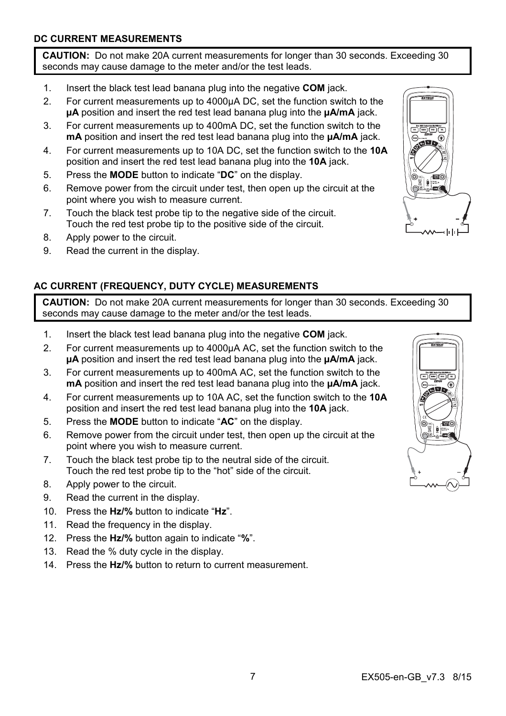#### **DC CURRENT MEASUREMENTS**

**CAUTION:** Do not make 20A current measurements for longer than 30 seconds. Exceeding 30 seconds may cause damage to the meter and/or the test leads.

- 1. Insert the black test lead banana plug into the negative **COM** jack.
- 2. For current measurements up to 4000µA DC, set the function switch to the **µA** position and insert the red test lead banana plug into the **µA/mA** jack.
- 3. For current measurements up to 400mA DC, set the function switch to the **mA** position and insert the red test lead banana plug into the **µA/mA** jack.
- 4. For current measurements up to 10A DC, set the function switch to the **10A** position and insert the red test lead banana plug into the **10A** jack.
- 5. Press the **MODE** button to indicate "**DC**" on the display.
- 6. Remove power from the circuit under test, then open up the circuit at the point where you wish to measure current.
- 7. Touch the black test probe tip to the negative side of the circuit. Touch the red test probe tip to the positive side of the circuit.
- 8. Apply power to the circuit.
- 9. Read the current in the display.

## **AC CURRENT (FREQUENCY, DUTY CYCLE) MEASUREMENTS**

**CAUTION:** Do not make 20A current measurements for longer than 30 seconds. Exceeding 30 seconds may cause damage to the meter and/or the test leads.

- 1. Insert the black test lead banana plug into the negative **COM** jack.
- 2. For current measurements up to 4000µA AC, set the function switch to the **µA** position and insert the red test lead banana plug into the **µA/mA** jack.
- 3. For current measurements up to 400mA AC, set the function switch to the **mA** position and insert the red test lead banana plug into the **µA/mA** jack.
- 4. For current measurements up to 10A AC, set the function switch to the **10A**  position and insert the red test lead banana plug into the **10A** jack.
- 5. Press the **MODE** button to indicate "**AC**" on the display.
- 6. Remove power from the circuit under test, then open up the circuit at the point where you wish to measure current.
- 7. Touch the black test probe tip to the neutral side of the circuit. Touch the red test probe tip to the "hot" side of the circuit.
- 8. Apply power to the circuit.
- 9. Read the current in the display.
- 10. Press the **Hz/%** button to indicate "**Hz**".
- 11. Read the frequency in the display.
- 12. Press the **Hz/%** button again to indicate "**%**".
- 13. Read the % duty cycle in the display.
- 14. Press the **Hz/%** button to return to current measurement.



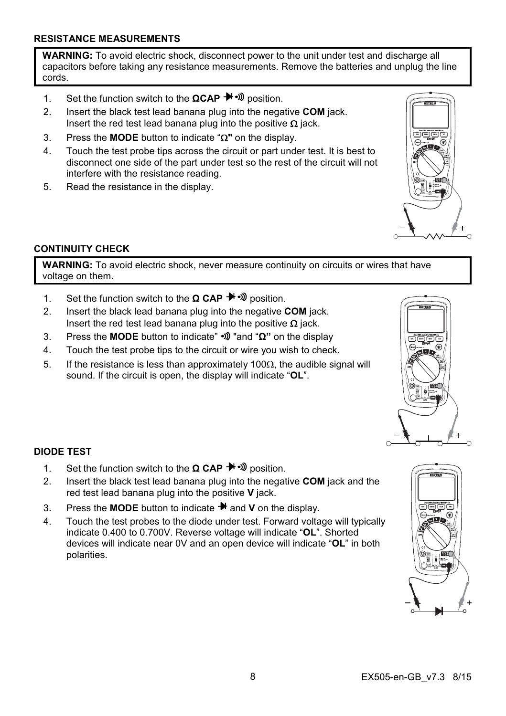**WARNING:** To avoid electric shock, disconnect power to the unit under test and discharge all capacitors before taking any resistance measurements. Remove the batteries and unplug the line cords.

- 1. Set the function switch to the **ΩCAP** → Dosition.
- 2. Insert the black test lead banana plug into the negative **COM** jack. Insert the red test lead banana plug into the positive  $\Omega$  jack.
- 3. Press the **MODE** button to indicate "**"** on the display.
- 4. Touch the test probe tips across the circuit or part under test. It is best to disconnect one side of the part under test so the rest of the circuit will not interfere with the resistance reading.
- 5. Read the resistance in the display.

### **CONTINUITY CHECK**

**WARNING:** To avoid electric shock, never measure continuity on circuits or wires that have voltage on them.

- 1. Set the function switch to the **Ω CAP** → *Φ* position.
- 2. Insert the black lead banana plug into the negative **COM** jack. Insert the red test lead banana plug into the positive  $\Omega$  jack.
- 3. Press the **MODE** button to indicate" "and "**Ω"** on the display
- 4. Touch the test probe tips to the circuit or wire you wish to check.
- 5. If the resistance is less than approximately 100 $\Omega$ , the audible signal will sound. If the circuit is open, the display will indicate "**OL**".

#### **DIODE TEST**

- 1. Set the function switch to the **Ω CAP <sup>→</sup>** <sup>3</sup> position.
- 2. Insert the black test lead banana plug into the negative **COM** jack and the red test lead banana plug into the positive **V** jack.
- 3. Press the **MODE** button to indicate  $\rightarrow$  and **V** on the display.
- 4. Touch the test probes to the diode under test. Forward voltage will typically indicate 0.400 to 0.700V. Reverse voltage will indicate "**OL**". Shorted devices will indicate near 0V and an open device will indicate "**OL**" in both polarities.





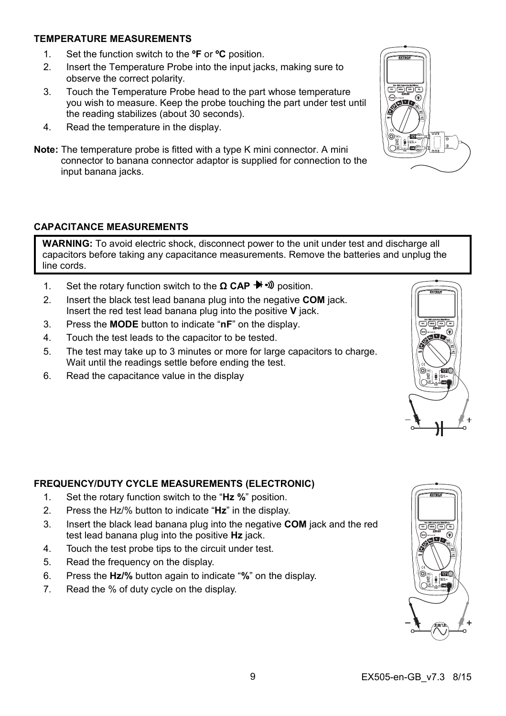#### **TEMPERATURE MEASUREMENTS**

- 1. Set the function switch to the **ºF** or **ºC** position.
- 2. Insert the Temperature Probe into the input jacks, making sure to observe the correct polarity.
- 3. Touch the Temperature Probe head to the part whose temperature you wish to measure. Keep the probe touching the part under test until the reading stabilizes (about 30 seconds).
- 4. Read the temperature in the display.
- **Note:** The temperature probe is fitted with a type K mini connector. A mini connector to banana connector adaptor is supplied for connection to the input banana jacks.

#### **CAPACITANCE MEASUREMENTS**

**WARNING:** To avoid electric shock, disconnect power to the unit under test and discharge all capacitors before taking any capacitance measurements. Remove the batteries and unplug the line cords.

- 1. Set the rotary function switch to the **Ω CAP** → *I*) position.
- 2. Insert the black test lead banana plug into the negative **COM** jack. Insert the red test lead banana plug into the positive **V** jack.
- 3. Press the **MODE** button to indicate "**nF**" on the display.
- 4. Touch the test leads to the capacitor to be tested.
- 5. The test may take up to 3 minutes or more for large capacitors to charge. Wait until the readings settle before ending the test.
- 6. Read the capacitance value in the display

## **FREQUENCY/DUTY CYCLE MEASUREMENTS (ELECTRONIC)**

- 1. Set the rotary function switch to the "**Hz %**" position.
- 2. Press the Hz/% button to indicate "**Hz**" in the display.
- 3. Insert the black lead banana plug into the negative **COM** jack and the red test lead banana plug into the positive **Hz** jack.
- 4. Touch the test probe tips to the circuit under test.
- 5. Read the frequency on the display.
- 6. Press the **Hz/%** button again to indicate "**%**" on the display.
- 7. Read the % of duty cycle on the display.





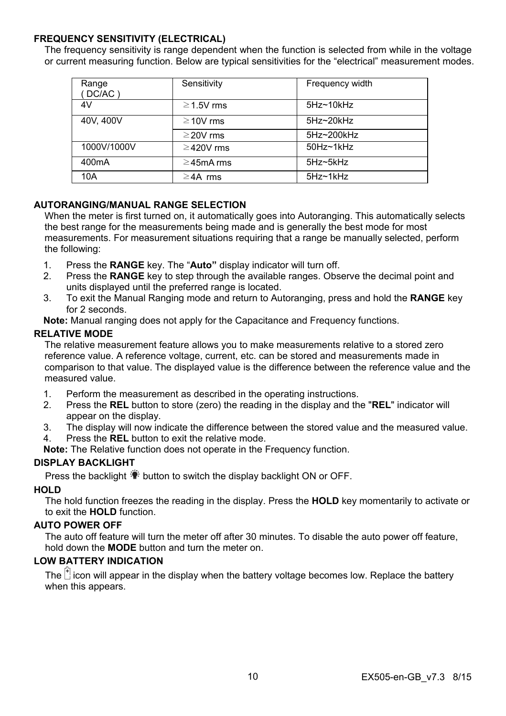#### **FREQUENCY SENSITIVITY (ELECTRICAL)**

The frequency sensitivity is range dependent when the function is selected from while in the voltage or current measuring function. Below are typical sensitivities for the "electrical" measurement modes.

| Range<br>(DC/AC)   | Sensitivity     | Frequency width     |
|--------------------|-----------------|---------------------|
| 4V                 | $\geq$ 1.5V rms | $5Hz - 10kHz$       |
| 40V, 400V          | $\geq$ 10V rms  | 5Hz~20kHz           |
|                    | $\geq$ 20V rms  | 5Hz~200kHz          |
| 1000V/1000V        | $\geq$ 420V rms | $50$ Hz $\sim$ 1kHz |
| 400 <sub>m</sub> A | $\geq$ 45mA rms | 5Hz~5kHz            |
| 10A                | $\geq$ 4A rms   | 5Hz~1kHz            |

#### **AUTORANGING/MANUAL RANGE SELECTION**

When the meter is first turned on, it automatically goes into Autoranging. This automatically selects the best range for the measurements being made and is generally the best mode for most measurements. For measurement situations requiring that a range be manually selected, perform the following:

- 1. Press the **RANGE** key. The "**Auto"** display indicator will turn off.
- 2. Press the **RANGE** key to step through the available ranges. Observe the decimal point and units displayed until the preferred range is located.
- 3. To exit the Manual Ranging mode and return to Autoranging, press and hold the **RANGE** key for 2 seconds.

**Note:** Manual ranging does not apply for the Capacitance and Frequency functions.

#### **RELATIVE MODE**

The relative measurement feature allows you to make measurements relative to a stored zero reference value. A reference voltage, current, etc. can be stored and measurements made in comparison to that value. The displayed value is the difference between the reference value and the measured value.

- 1. Perform the measurement as described in the operating instructions.
- 2. Press the **REL** button to store (zero) the reading in the display and the "**REL**" indicator will appear on the display.
- 3. The display will now indicate the difference between the stored value and the measured value.
- 4. Press the **REL** button to exit the relative mode.

**Note:** The Relative function does not operate in the Frequency function.

#### **DISPLAY BACKLIGHT**

Press the backlight  $\ddot{\ddot{\bullet}}$  button to switch the display backlight ON or OFF.

#### **HOLD**

The hold function freezes the reading in the display. Press the **HOLD** key momentarily to activate or to exit the **HOLD** function.

#### **AUTO POWER OFF**

The auto off feature will turn the meter off after 30 minutes. To disable the auto power off feature, hold down the **MODE** button and turn the meter on.

#### **LOW BATTERY INDICATION**

The  $\mathbb{F}$  icon will appear in the display when the battery voltage becomes low. Replace the battery when this appears.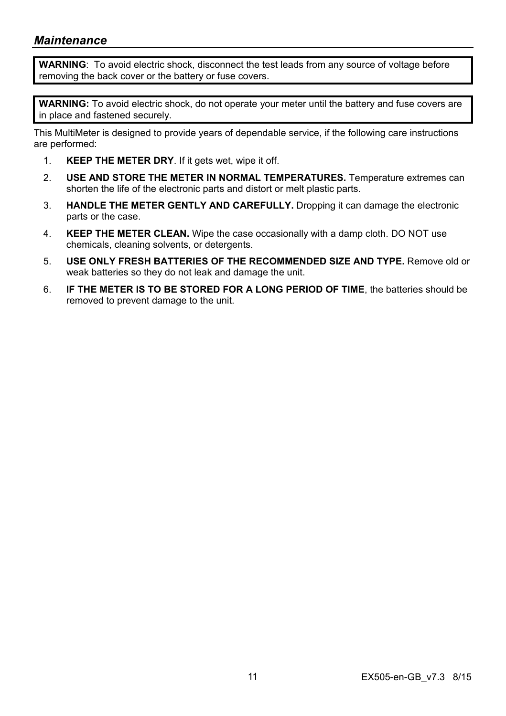# *Maintenance*

**WARNING**: To avoid electric shock, disconnect the test leads from any source of voltage before removing the back cover or the battery or fuse covers.

**WARNING:** To avoid electric shock, do not operate your meter until the battery and fuse covers are in place and fastened securely.

This MultiMeter is designed to provide years of dependable service, if the following care instructions are performed:

- 1. **KEEP THE METER DRY**. If it gets wet, wipe it off.
- 2. **USE AND STORE THE METER IN NORMAL TEMPERATURES.** Temperature extremes can shorten the life of the electronic parts and distort or melt plastic parts.
- 3. **HANDLE THE METER GENTLY AND CAREFULLY.** Dropping it can damage the electronic parts or the case.
- 4. **KEEP THE METER CLEAN.** Wipe the case occasionally with a damp cloth. DO NOT use chemicals, cleaning solvents, or detergents.
- 5. **USE ONLY FRESH BATTERIES OF THE RECOMMENDED SIZE AND TYPE.** Remove old or weak batteries so they do not leak and damage the unit.
- 6. **IF THE METER IS TO BE STORED FOR A LONG PERIOD OF TIME**, the batteries should be removed to prevent damage to the unit.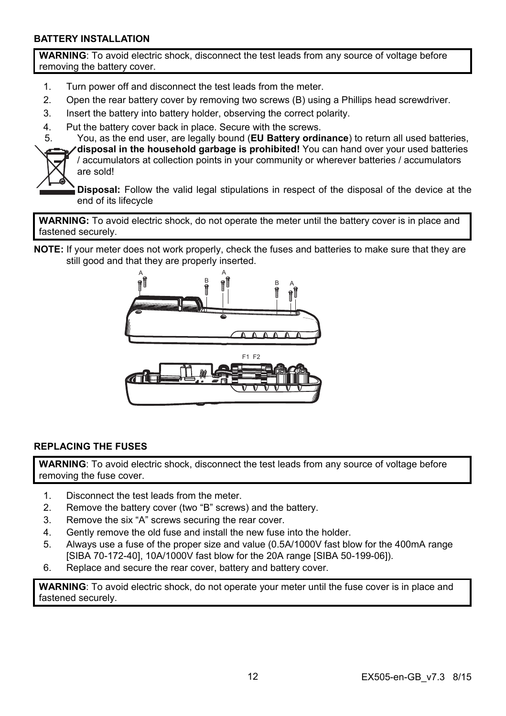#### **BATTERY INSTALLATION**

**WARNING**: To avoid electric shock, disconnect the test leads from any source of voltage before removing the battery cover.

- 1. Turn power off and disconnect the test leads from the meter.
- 2. Open the rear battery cover by removing two screws (B) using a Phillips head screwdriver.
- 3. Insert the battery into battery holder, observing the correct polarity.
- 4. Put the battery cover back in place. Secure with the screws.
- 5. You, as the end user, are legally bound (**EU Battery ordinance**) to return all used batteries,



**disposal in the household garbage is prohibited!** You can hand over your used batteries / accumulators at collection points in your community or wherever batteries / accumulators are sold!

**Disposal:** Follow the valid legal stipulations in respect of the disposal of the device at the end of its lifecycle

**WARNING:** To avoid electric shock, do not operate the meter until the battery cover is in place and fastened securely.

**NOTE:** If your meter does not work properly, check the fuses and batteries to make sure that they are still good and that they are properly inserted.



#### **REPLACING THE FUSES**

**WARNING**: To avoid electric shock, disconnect the test leads from any source of voltage before removing the fuse cover.

- 1. Disconnect the test leads from the meter.
- 2. Remove the battery cover (two "B" screws) and the battery.
- 3. Remove the six "A" screws securing the rear cover.
- 4. Gently remove the old fuse and install the new fuse into the holder.
- 5. Always use a fuse of the proper size and value (0.5A/1000V fast blow for the 400mA range [SIBA 70-172-40], 10A/1000V fast blow for the 20A range [SIBA 50-199-06]).
- 6. Replace and secure the rear cover, battery and battery cover.

**WARNING**: To avoid electric shock, do not operate your meter until the fuse cover is in place and fastened securely.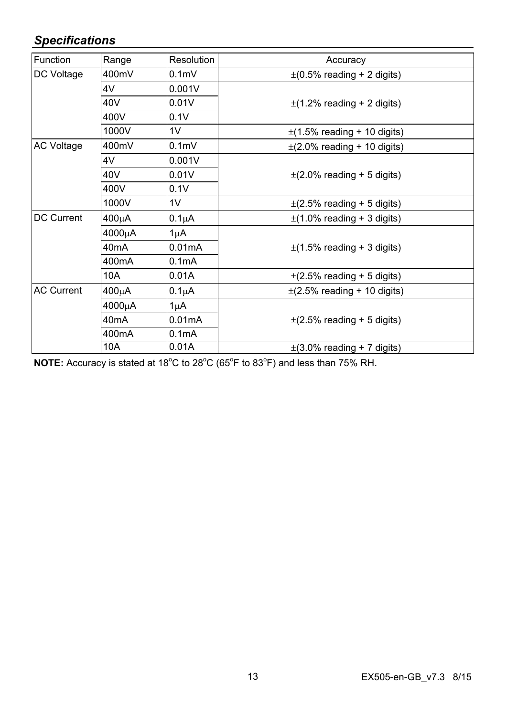# *Specifications*

| Function          | Range              | <b>Resolution</b>  | Accuracy                         |  |
|-------------------|--------------------|--------------------|----------------------------------|--|
| DC Voltage        | 400mV              | 0.1 <sub>m</sub>   | $\pm$ (0.5% reading + 2 digits)  |  |
|                   | 4V                 | 0.001V             |                                  |  |
|                   | 40V                | 0.01V              | $\pm$ (1.2% reading + 2 digits)  |  |
|                   | 400V               | 0.1V               |                                  |  |
|                   | 1000V              | 1 <sub>V</sub>     | $\pm$ (1.5% reading + 10 digits) |  |
| <b>AC Voltage</b> | 400mV              | 0.1 <sub>m</sub>   | $\pm$ (2.0% reading + 10 digits) |  |
|                   | 4V                 | 0.001V             |                                  |  |
|                   | 40V                | 0.01V              | $\pm$ (2.0% reading + 5 digits)  |  |
|                   | 400V               | 0.1V               |                                  |  |
|                   | 1000V              | 1 <sub>V</sub>     | $\pm$ (2.5% reading + 5 digits)  |  |
| DC Current        | 400μA              | $0.1\mu A$         | $\pm$ (1.0% reading + 3 digits)  |  |
|                   | 4000μA             | $1 \mu A$          |                                  |  |
|                   | 40mA               | 0.01mA             | $\pm$ (1.5% reading + 3 digits)  |  |
|                   | 400mA              | 0.1 <sub>m</sub> A |                                  |  |
|                   | 10A                | 0.01A              | $\pm$ (2.5% reading + 5 digits)  |  |
| <b>AC Current</b> | 400μA              | $0.1\mu A$         | $\pm$ (2.5% reading + 10 digits) |  |
|                   | 4000μA             | $1\mu$ A           | $\pm$ (2.5% reading + 5 digits)  |  |
|                   | 40 <sub>m</sub> A  | 0.01mA             |                                  |  |
|                   | 400 <sub>m</sub> A | 0.1 <sub>m</sub> A |                                  |  |
|                   | 10A                | 0.01A              | $\pm$ (3.0% reading + 7 digits)  |  |

NOTE: Accuracy is stated at 18<sup>°</sup>C to 28<sup>°</sup>C (65<sup>°</sup>F to 83<sup>°</sup>F) and less than 75% RH.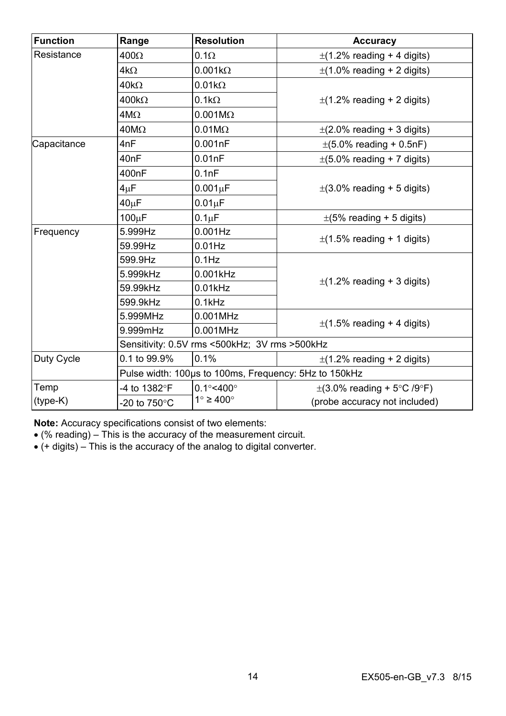| <b>Function</b> | Range                                                 | <b>Resolution</b>             | Accuracy                                     |
|-----------------|-------------------------------------------------------|-------------------------------|----------------------------------------------|
| Resistance      | $400\Omega$                                           | $0.1\Omega$                   | $\pm$ (1.2% reading + 4 digits)              |
|                 | $4k\Omega$                                            | $0.001k\Omega$                | $\pm$ (1.0% reading + 2 digits)              |
|                 | $40k\Omega$                                           | $0.01k\Omega$                 |                                              |
|                 | $400k\Omega$                                          | $0.1k\Omega$                  | $\pm$ (1.2% reading + 2 digits)              |
|                 | $4M\Omega$                                            | $0.001M\Omega$                |                                              |
|                 | $40M\Omega$                                           | $0.01M\Omega$                 | $\pm$ (2.0% reading + 3 digits)              |
| Capacitance     | 4nF                                                   | 0.001nF                       | $\pm (5.0\% \text{ reading} + 0.5\text{nF})$ |
|                 | 40 <sub>nF</sub>                                      | 0.01nF                        | $\pm$ (5.0% reading + 7 digits)              |
|                 | 400nF                                                 | 0.1nF                         |                                              |
|                 | 4 <sub>µ</sub> F                                      | $0.001 \mu F$                 | $\pm$ (3.0% reading + 5 digits)              |
|                 | $40\mu F$                                             | $0.01 \mu F$                  |                                              |
|                 | $100\mu F$                                            | $0.1 \mu F$                   | $\pm$ (5% reading + 5 digits)                |
| Frequency       | 5.999Hz                                               | $0.001$ Hz                    | $\pm$ (1.5% reading + 1 digits)              |
|                 | 59.99Hz                                               | $0.01$ Hz                     |                                              |
|                 | 599.9Hz                                               | $0.1$ Hz                      |                                              |
|                 | 5.999kHz                                              | $0.001$ kHz                   | $\pm$ (1.2% reading + 3 digits)              |
|                 | 59.99kHz                                              | $0.01$ kHz                    |                                              |
|                 | 599.9kHz                                              | $0.1$ kHz                     |                                              |
|                 | 5.999MHz                                              | 0.001MHz                      | $\pm$ (1.5% reading + 4 digits)              |
|                 | 9.999mHz                                              | 0.001MHz                      |                                              |
|                 | Sensitivity: 0.5V rms <500kHz; 3V rms >500kHz         |                               |                                              |
| Duty Cycle      | 0.1 to 99.9%                                          | 0.1%                          | $\pm$ (1.2% reading + 2 digits)              |
|                 | Pulse width: 100us to 100ms, Frequency: 5Hz to 150kHz |                               |                                              |
| Temp            | -4 to 1382°F                                          | $0.1^{\circ}$ <400 $^{\circ}$ | $\pm$ (3.0% reading + 5°C /9°F)              |
| $(type-K)$      | -20 to 750°C                                          | $1^\circ \geq 400^\circ$      | (probe accuracy not included)                |

**Note:** Accuracy specifications consist of two elements:

(% reading) – This is the accuracy of the measurement circuit.

(+ digits) – This is the accuracy of the analog to digital converter.